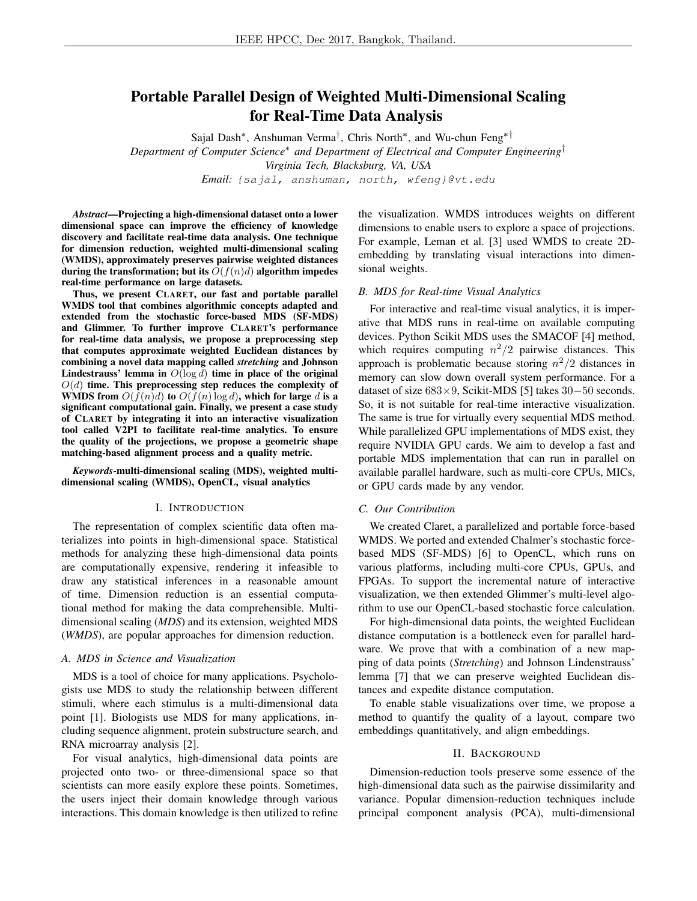# Portable Parallel Design of Weighted Multi-Dimensional Scaling for Real-Time Data Analysis

Sajal Dash<sup>∗</sup>, Anshuman Verma<sup>†</sup>, Chris North<sup>∗</sup>, and Wu-chun Feng<sup>∗†</sup>

*Department of Computer Science*<sup>∗</sup> *and Department of Electrical and Computer Engineering*† *Virginia Tech, Blacksburg, VA, USA*

*Email:* {sajal, anshuman, north, wfeng}@vt.edu

*Abstract*—Projecting a high-dimensional dataset onto a lower dimensional space can improve the efficiency of knowledge discovery and facilitate real-time data analysis. One technique for dimension reduction, weighted multi-dimensional scaling (WMDS), approximately preserves pairwise weighted distances during the transformation; but its  $O(f(n)d)$  algorithm impedes real-time performance on large datasets.

Thus, we present CLARET, our fast and portable parallel WMDS tool that combines algorithmic concepts adapted and extended from the stochastic force-based MDS (SF-MDS) and Glimmer. To further improve CLARET's performance for real-time data analysis, we propose a preprocessing step that computes approximate weighted Euclidean distances by combining a novel data mapping called *stretching* and Johnson Lindestrauss' lemma in  $O(\log d)$  time in place of the original  $O(d)$  time. This preprocessing step reduces the complexity of WMDS from  $O(f(n)d)$  to  $O(f(n) \log d)$ , which for large d is a significant computational gain. Finally, we present a case study of CLARET by integrating it into an interactive visualization tool called V2PI to facilitate real-time analytics. To ensure the quality of the projections, we propose a geometric shape matching-based alignment process and a quality metric.

*Keywords*-multi-dimensional scaling (MDS), weighted multidimensional scaling (WMDS), OpenCL, visual analytics

## I. INTRODUCTION

The representation of complex scientific data often materializes into points in high-dimensional space. Statistical methods for analyzing these high-dimensional data points are computationally expensive, rendering it infeasible to draw any statistical inferences in a reasonable amount of time. Dimension reduction is an essential computational method for making the data comprehensible. Multidimensional scaling (*MDS*) and its extension, weighted MDS (*WMDS*), are popular approaches for dimension reduction.

# *A. MDS in Science and Visualization*

MDS is a tool of choice for many applications. Psychologists use MDS to study the relationship between different stimuli, where each stimulus is a multi-dimensional data point [1]. Biologists use MDS for many applications, including sequence alignment, protein substructure search, and RNA microarray analysis [2].

For visual analytics, high-dimensional data points are projected onto two- or three-dimensional space so that scientists can more easily explore these points. Sometimes, the users inject their domain knowledge through various interactions. This domain knowledge is then utilized to refine the visualization. WMDS introduces weights on different dimensions to enable users to explore a space of projections. For example, Leman et al. [3] used WMDS to create 2Dembedding by translating visual interactions into dimensional weights.

## *B. MDS for Real-time Visual Analytics*

For interactive and real-time visual analytics, it is imperative that MDS runs in real-time on available computing devices. Python Scikit MDS uses the SMACOF [4] method, which requires computing  $n^2/2$  pairwise distances. This approach is problematic because storing  $n^2/2$  distances in memory can slow down overall system performance. For a dataset of size 683×9, Scikit-MDS [5] takes 30−50 seconds. So, it is not suitable for real-time interactive visualization. The same is true for virtually every sequential MDS method. While parallelized GPU implementations of MDS exist, they require NVIDIA GPU cards. We aim to develop a fast and portable MDS implementation that can run in parallel on available parallel hardware, such as multi-core CPUs, MICs, or GPU cards made by any vendor.

## *C. Our Contribution*

We created Claret, a parallelized and portable force-based WMDS. We ported and extended Chalmer's stochastic forcebased MDS (SF-MDS) [6] to OpenCL, which runs on various platforms, including multi-core CPUs, GPUs, and FPGAs. To support the incremental nature of interactive visualization, we then extended Glimmer's multi-level algorithm to use our OpenCL-based stochastic force calculation.

For high-dimensional data points, the weighted Euclidean distance computation is a bottleneck even for parallel hardware. We prove that with a combination of a new mapping of data points (*Stretching*) and Johnson Lindenstrauss' lemma [7] that we can preserve weighted Euclidean distances and expedite distance computation.

To enable stable visualizations over time, we propose a method to quantify the quality of a layout, compare two embeddings quantitatively, and align embeddings.

## II. BACKGROUND

Dimension-reduction tools preserve some essence of the high-dimensional data such as the pairwise dissimilarity and variance. Popular dimension-reduction techniques include principal component analysis (PCA), multi-dimensional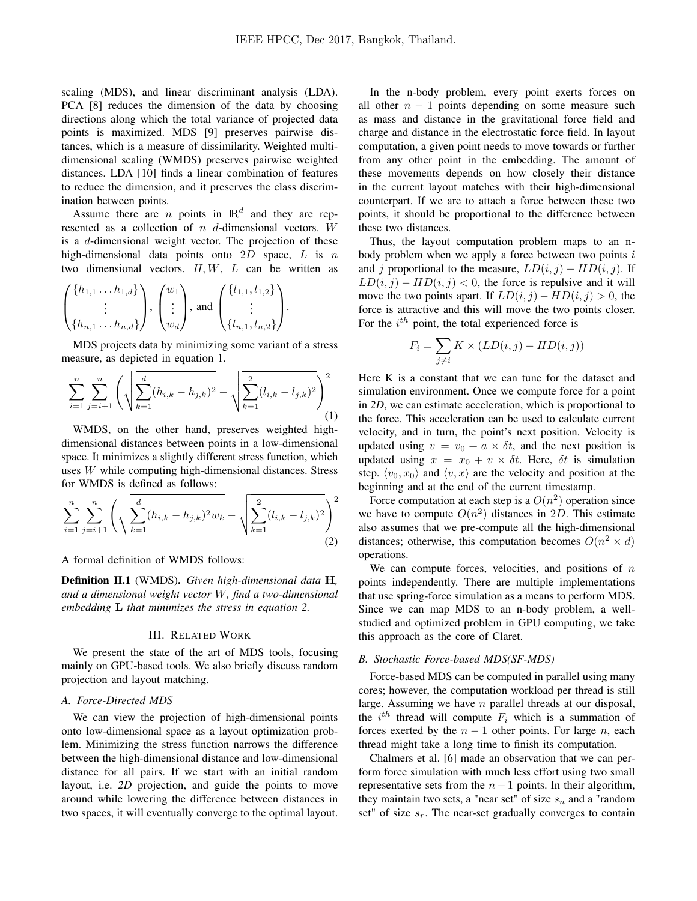scaling (MDS), and linear discriminant analysis (LDA). PCA [8] reduces the dimension of the data by choosing directions along which the total variance of projected data points is maximized. MDS [9] preserves pairwise distances, which is a measure of dissimilarity. Weighted multidimensional scaling (WMDS) preserves pairwise weighted distances. LDA [10] finds a linear combination of features to reduce the dimension, and it preserves the class discrimination between points.

Assume there are *n* points in  $\mathbb{R}^d$  and they are represented as a collection of n d-dimensional vectors. W is a d-dimensional weight vector. The projection of these high-dimensional data points onto  $2D$  space, L is n two dimensional vectors.  $H, W, L$  can be written as

$$
\begin{pmatrix} \{h_{1,1} \ldots h_{1,d}\} \\ \vdots \\ \{h_{n,1} \ldots h_{n,d}\} \end{pmatrix}, \begin{pmatrix} w_1 \\ \vdots \\ w_d \end{pmatrix}, \text{ and } \begin{pmatrix} \{l_{1,1}, l_{1,2}\} \\ \vdots \\ \{l_{n,1}, l_{n,2}\} \end{pmatrix}.
$$

MDS projects data by minimizing some variant of a stress measure, as depicted in equation 1.

$$
\sum_{i=1}^{n} \sum_{j=i+1}^{n} \left( \sqrt{\sum_{k=1}^{d} (h_{i,k} - h_{j,k})^2} - \sqrt{\sum_{k=1}^{2} (l_{i,k} - l_{j,k})^2} \right)^2
$$
\n(1)

WMDS, on the other hand, preserves weighted highdimensional distances between points in a low-dimensional space. It minimizes a slightly different stress function, which uses W while computing high-dimensional distances. Stress for WMDS is defined as follows:

$$
\sum_{i=1}^{n} \sum_{j=i+1}^{n} \left( \sqrt{\sum_{k=1}^{d} (h_{i,k} - h_{j,k})^2 w_k} - \sqrt{\sum_{k=1}^{2} (l_{i,k} - l_{j,k})^2} \right)^2 \tag{2}
$$

## A formal definition of WMDS follows:

Definition II.1 (WMDS). *Given high-dimensional data* H*, and a dimensional weight vector* W*, find a two-dimensional embedding* L *that minimizes the stress in equation 2.*

#### III. RELATED WORK

We present the state of the art of MDS tools, focusing mainly on GPU-based tools. We also briefly discuss random projection and layout matching.

# *A. Force-Directed MDS*

We can view the projection of high-dimensional points onto low-dimensional space as a layout optimization problem. Minimizing the stress function narrows the difference between the high-dimensional distance and low-dimensional distance for all pairs. If we start with an initial random layout, i.e. *2D* projection, and guide the points to move around while lowering the difference between distances in two spaces, it will eventually converge to the optimal layout.

In the n-body problem, every point exerts forces on all other  $n - 1$  points depending on some measure such as mass and distance in the gravitational force field and charge and distance in the electrostatic force field. In layout computation, a given point needs to move towards or further from any other point in the embedding. The amount of these movements depends on how closely their distance in the current layout matches with their high-dimensional counterpart. If we are to attach a force between these two points, it should be proportional to the difference between these two distances.

Thus, the layout computation problem maps to an nbody problem when we apply a force between two points  $i$ and j proportional to the measure,  $LD(i, j) - HD(i, j)$ . If  $LD(i, j) - HD(i, j) < 0$ , the force is repulsive and it will move the two points apart. If  $LD(i, j) - HD(i, j) > 0$ , the force is attractive and this will move the two points closer. For the  $i^{th}$  point, the total experienced force is

$$
F_i = \sum_{j \neq i} K \times (LD(i, j) - HD(i, j))
$$

Here K is a constant that we can tune for the dataset and simulation environment. Once we compute force for a point in *2D*, we can estimate acceleration, which is proportional to the force. This acceleration can be used to calculate current velocity, and in turn, the point's next position. Velocity is updated using  $v = v_0 + a \times \delta t$ , and the next position is updated using  $x = x_0 + v \times \delta t$ . Here,  $\delta t$  is simulation step.  $\langle v_0, x_0 \rangle$  and  $\langle v, x \rangle$  are the velocity and position at the beginning and at the end of the current timestamp.

Force computation at each step is a  $O(n^2)$  operation since we have to compute  $O(n^2)$  distances in 2D. This estimate also assumes that we pre-compute all the high-dimensional distances; otherwise, this computation becomes  $O(n^2 \times d)$ operations.

We can compute forces, velocities, and positions of  $n$ points independently. There are multiple implementations that use spring-force simulation as a means to perform MDS. Since we can map MDS to an n-body problem, a wellstudied and optimized problem in GPU computing, we take this approach as the core of Claret.

## *B. Stochastic Force-based MDS(SF-MDS)*

Force-based MDS can be computed in parallel using many cores; however, the computation workload per thread is still large. Assuming we have  $n$  parallel threads at our disposal, the  $i^{th}$  thread will compute  $F_i$  which is a summation of forces exerted by the  $n - 1$  other points. For large n, each thread might take a long time to finish its computation.

Chalmers et al. [6] made an observation that we can perform force simulation with much less effort using two small representative sets from the  $n-1$  points. In their algorithm, they maintain two sets, a "near set" of size  $s_n$  and a "random set" of size  $s_r$ . The near-set gradually converges to contain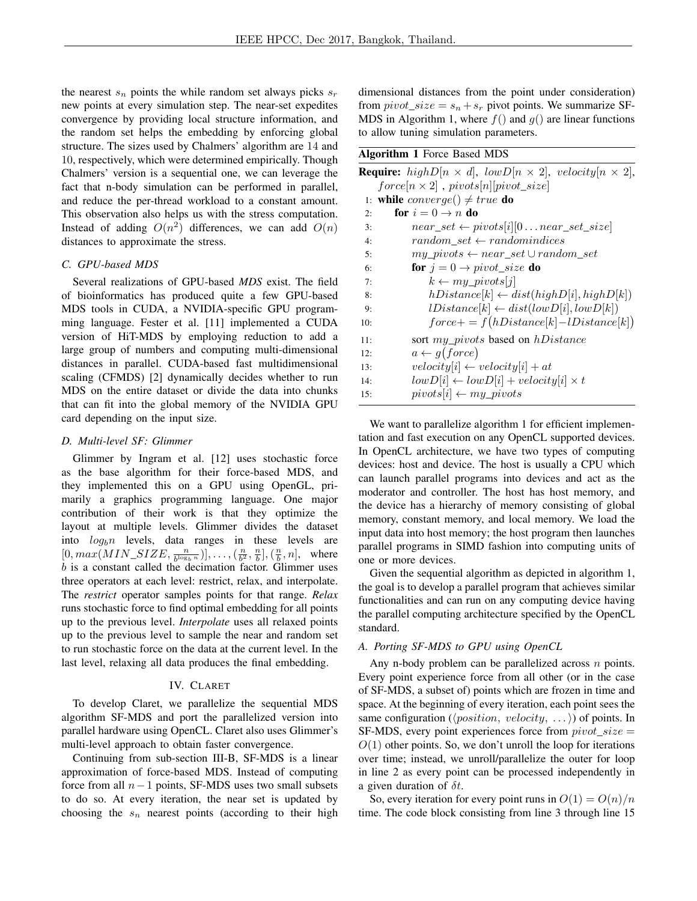the nearest  $s_n$  points the while random set always picks  $s_r$ new points at every simulation step. The near-set expedites convergence by providing local structure information, and the random set helps the embedding by enforcing global structure. The sizes used by Chalmers' algorithm are 14 and 10, respectively, which were determined empirically. Though Chalmers' version is a sequential one, we can leverage the fact that n-body simulation can be performed in parallel, and reduce the per-thread workload to a constant amount. This observation also helps us with the stress computation. Instead of adding  $O(n^2)$  differences, we can add  $O(n)$ distances to approximate the stress.

# *C. GPU-based MDS*

Several realizations of GPU-based *MDS* exist. The field of bioinformatics has produced quite a few GPU-based MDS tools in CUDA, a NVIDIA-specific GPU programming language. Fester et al. [11] implemented a CUDA version of HiT-MDS by employing reduction to add a large group of numbers and computing multi-dimensional distances in parallel. CUDA-based fast multidimensional scaling (CFMDS) [2] dynamically decides whether to run MDS on the entire dataset or divide the data into chunks that can fit into the global memory of the NVIDIA GPU card depending on the input size.

## *D. Multi-level SF: Glimmer*

Glimmer by Ingram et al. [12] uses stochastic force as the base algorithm for their force-based MDS, and they implemented this on a GPU using OpenGL, primarily a graphics programming language. One major contribution of their work is that they optimize the layout at multiple levels. Glimmer divides the dataset into  $log_b n$  levels, data ranges in these levels are  $[0, max(MIN\_SIZE, \frac{n}{b^{\log_b n}})], \ldots, (\frac{n}{b^2}, \frac{n}{b}], (\frac{n}{b}, n],$  where b is a constant called the decimation factor. Glimmer uses three operators at each level: restrict, relax, and interpolate. The *restrict* operator samples points for that range. *Relax* runs stochastic force to find optimal embedding for all points up to the previous level. *Interpolate* uses all relaxed points up to the previous level to sample the near and random set to run stochastic force on the data at the current level. In the last level, relaxing all data produces the final embedding.

# IV. CLARET

To develop Claret, we parallelize the sequential MDS algorithm SF-MDS and port the parallelized version into parallel hardware using OpenCL. Claret also uses Glimmer's multi-level approach to obtain faster convergence.

Continuing from sub-section III-B, SF-MDS is a linear approximation of force-based MDS. Instead of computing force from all  $n-1$  points, SF-MDS uses two small subsets to do so. At every iteration, the near set is updated by choosing the  $s_n$  nearest points (according to their high dimensional distances from the point under consideration) from  $pivot\_size = s_n + s_r$  pivot points. We summarize SF-MDS in Algorithm 1, where  $f()$  and  $g()$  are linear functions to allow tuning simulation parameters.

# Algorithm 1 Force Based MDS

|     | <b>Require:</b> highD[ $n \times d$ ], lowD[ $n \times 2$ ], velocity[ $n \times 2$ ],<br>$force[n \times 2]$ , pivots $[n][pivot\_size]$ |
|-----|-------------------------------------------------------------------------------------------------------------------------------------------|
|     | 1: while $converge() \neq true$ do                                                                                                        |
| 2:  | for $i=0 \rightarrow n$ do                                                                                                                |
| 3:  | $near\_set \leftarrow pivots[i][0 \dots near\_set\_size]$                                                                                 |
| 4:  | $random\ set \leftarrow random\ indices$                                                                                                  |
| 5:  | $my\_pivots \leftarrow near\_set \cup random\_set$                                                                                        |
| 6:  | <b>for</b> $j = 0 \rightarrow pivot\_size$ <b>do</b>                                                                                      |
| 7:  | $k \leftarrow my\_pivots[j]$                                                                                                              |
| 8:  | $hDistance[k] \leftarrow dist(highD[i], highD[k])$                                                                                        |
| 9:  | $lDistance[k] \leftarrow dist(lowD[i], lowD[k])$                                                                                          |
| 10: | $force+=f(hDistance[k]-lDistance[k])$                                                                                                     |
| 11: | sort my pivots based on hDistance                                                                                                         |
| 12: | $a \leftarrow g(force)$                                                                                                                   |
| 13: | $velocity[i] \leftarrow velocity[i] + at$                                                                                                 |
| 14: | $lowD[i] \leftarrow lowD[i] + velocity[i] \times t$                                                                                       |
| 15: | $pivots[i] \leftarrow my\_pivots$                                                                                                         |
|     |                                                                                                                                           |

We want to parallelize algorithm 1 for efficient implementation and fast execution on any OpenCL supported devices. In OpenCL architecture, we have two types of computing devices: host and device. The host is usually a CPU which can launch parallel programs into devices and act as the moderator and controller. The host has host memory, and the device has a hierarchy of memory consisting of global memory, constant memory, and local memory. We load the input data into host memory; the host program then launches parallel programs in SIMD fashion into computing units of one or more devices.

Given the sequential algorithm as depicted in algorithm 1, the goal is to develop a parallel program that achieves similar functionalities and can run on any computing device having the parallel computing architecture specified by the OpenCL standard.

# *A. Porting SF-MDS to GPU using OpenCL*

Any n-body problem can be parallelized across *n* points. Every point experience force from all other (or in the case of SF-MDS, a subset of) points which are frozen in time and space. At the beginning of every iteration, each point sees the same configuration ( $\langle position, velocity, \ldots \rangle$ ) of points. In SF-MDS, every point experiences force from  $pivot\_size =$  $O(1)$  other points. So, we don't unroll the loop for iterations over time; instead, we unroll/parallelize the outer for loop in line 2 as every point can be processed independently in a given duration of  $\delta t$ .

So, every iteration for every point runs in  $O(1) = O(n)/n$ time. The code block consisting from line 3 through line 15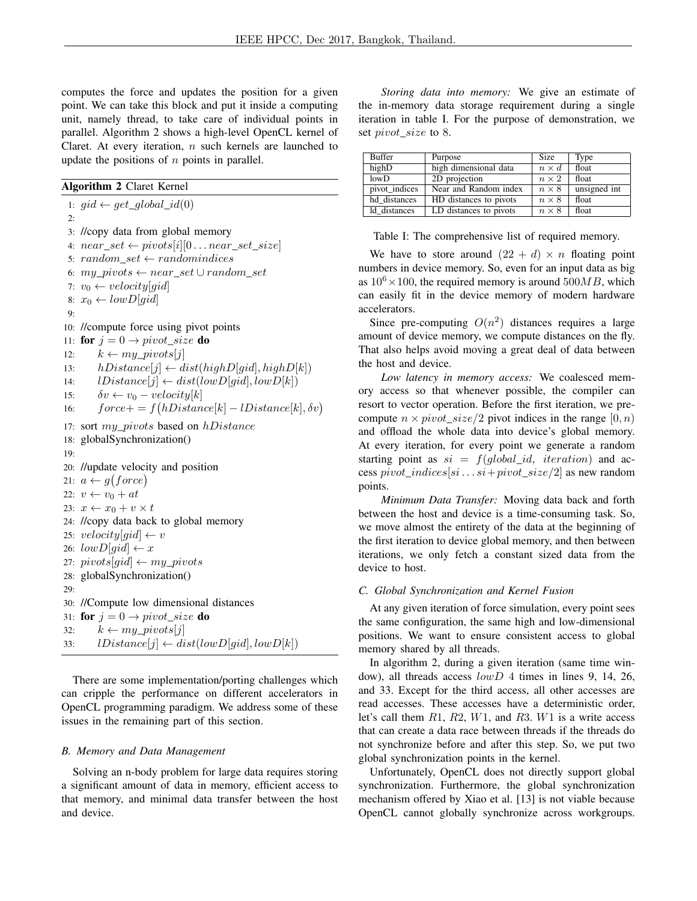computes the force and updates the position for a given point. We can take this block and put it inside a computing unit, namely thread, to take care of individual points in parallel. Algorithm 2 shows a high-level OpenCL kernel of Claret. At every iteration,  $n$  such kernels are launched to update the positions of  $n$  points in parallel.

# Algorithm 2 Claret Kernel

1:  $gid \leftarrow get\_global\_id(0)$ 2: 3: //copy data from global memory 4:  $near\_set \leftarrow pivots[i][0 \dots near\_set\_size]$ 5:  $random\_set \leftarrow random indices$ 6:  $my\_pivots \leftarrow near\_set \cup random\_set$ 7:  $v_0 \leftarrow velocity[qid]$ 8:  $x_0 \leftarrow lowD[qid]$  $Q^2$ 10: //compute force using pivot points 11: for  $j = 0 \rightarrow pivot\_size$  do 12:  $k \leftarrow my\_pivots[j]$ 13:  $hDistance[j] \leftarrow dist(highD[gid], highD[k])$ 14:  $lDistance[j] \leftarrow dist(lowD[gid], lowD[k])$ 15:  $\delta v \leftarrow v_0 - velocity[k]$ 16:  $force+=f(hDistance[k]-lDistance[k],\delta v)$ 17: sort my\_pivots based on hDistance 18: globalSynchronization() 19: 20: //update velocity and position 21:  $a \leftarrow g(force)$ 22:  $v \leftarrow v_0 + at$ 23:  $x \leftarrow x_0 + v \times t$ 24: //copy data back to global memory 25:  $velocity[qid] \leftarrow v$ 26:  $lowD[gid] \leftarrow x$ 27:  $pivots[gid] \leftarrow my\_pivots$ 28: globalSynchronization()  $29.$ 30: //Compute low dimensional distances 31: for  $j = 0 \rightarrow pivot\_size$  do 32:  $k \leftarrow my\_pivots[j]$ 33:  $lDistance[j] \leftarrow dist(lowD[gid], lowD[k])$ 

There are some implementation/porting challenges which can cripple the performance on different accelerators in OpenCL programming paradigm. We address some of these issues in the remaining part of this section.

# *B. Memory and Data Management*

Solving an n-body problem for large data requires storing a significant amount of data in memory, efficient access to that memory, and minimal data transfer between the host and device.

*Storing data into memory:* We give an estimate of the in-memory data storage requirement during a single iteration in table I. For the purpose of demonstration, we set *pivot* size to 8.

| Buffer        | Purpose                | Size         | Type         |
|---------------|------------------------|--------------|--------------|
| highD         | high dimensional data  | $n \times d$ | float        |
| lowD          | 2D projection          | $n \times 2$ | float        |
| pivot indices | Near and Random index  | $n \times 8$ | unsigned int |
| hd distances  | HD distances to pivots | $n \times 8$ | float        |
| ld distances  | LD distances to pivots | $n \times 8$ | float        |

Table I: The comprehensive list of required memory.

We have to store around  $(22 + d) \times n$  floating point numbers in device memory. So, even for an input data as big as  $10^6 \times 100$ , the required memory is around  $500MB$ , which can easily fit in the device memory of modern hardware accelerators.

Since pre-computing  $O(n^2)$  distances requires a large amount of device memory, we compute distances on the fly. That also helps avoid moving a great deal of data between the host and device.

*Low latency in memory access:* We coalesced memory access so that whenever possible, the compiler can resort to vector operation. Before the first iteration, we precompute  $n \times pivot\_size/2$  pivot indices in the range  $[0, n)$ and offload the whole data into device's global memory. At every iteration, for every point we generate a random starting point as  $si = f(global id, iteration)$  and access  $pivot\_indices[si \dots si + pivot\_size/2]$  as new random points.

*Minimum Data Transfer:* Moving data back and forth between the host and device is a time-consuming task. So, we move almost the entirety of the data at the beginning of the first iteration to device global memory, and then between iterations, we only fetch a constant sized data from the device to host.

## *C. Global Synchronization and Kernel Fusion*

At any given iteration of force simulation, every point sees the same configuration, the same high and low-dimensional positions. We want to ensure consistent access to global memory shared by all threads.

In algorithm 2, during a given iteration (same time window), all threads access  $lowD$  4 times in lines 9, 14, 26, and 33. Except for the third access, all other accesses are read accesses. These accesses have a deterministic order, let's call them  $R1$ ,  $R2$ ,  $W1$ , and  $R3$ ,  $W1$  is a write access that can create a data race between threads if the threads do not synchronize before and after this step. So, we put two global synchronization points in the kernel.

Unfortunately, OpenCL does not directly support global synchronization. Furthermore, the global synchronization mechanism offered by Xiao et al. [13] is not viable because OpenCL cannot globally synchronize across workgroups.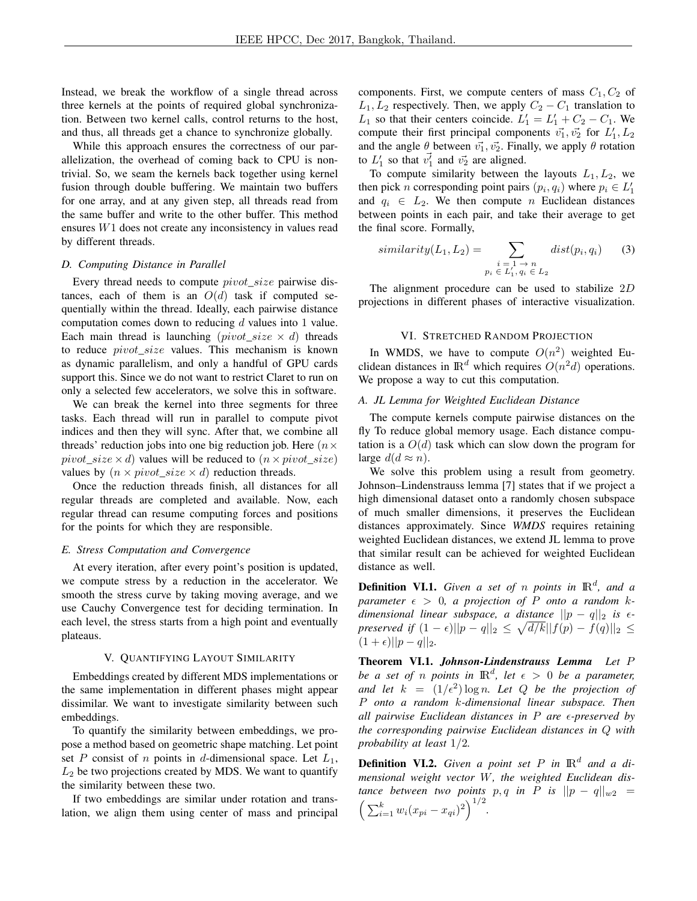Instead, we break the workflow of a single thread across three kernels at the points of required global synchronization. Between two kernel calls, control returns to the host, and thus, all threads get a chance to synchronize globally.

While this approach ensures the correctness of our parallelization, the overhead of coming back to CPU is nontrivial. So, we seam the kernels back together using kernel fusion through double buffering. We maintain two buffers for one array, and at any given step, all threads read from the same buffer and write to the other buffer. This method ensures W1 does not create any inconsistency in values read by different threads.

## *D. Computing Distance in Parallel*

Every thread needs to compute pivot\_size pairwise distances, each of them is an  $O(d)$  task if computed sequentially within the thread. Ideally, each pairwise distance computation comes down to reducing  $d$  values into 1 value. Each main thread is launching  $(pivot\_size \times d)$  threads to reduce pivot\_size values. This mechanism is known as dynamic parallelism, and only a handful of GPU cards support this. Since we do not want to restrict Claret to run on only a selected few accelerators, we solve this in software.

We can break the kernel into three segments for three tasks. Each thread will run in parallel to compute pivot indices and then they will sync. After that, we combine all threads' reduction jobs into one big reduction job. Here  $(n \times$ pivot  $size \times d$ ) values will be reduced to  $(n \times pivot\_size)$ values by  $(n \times pivot \; size \times d)$  reduction threads.

Once the reduction threads finish, all distances for all regular threads are completed and available. Now, each regular thread can resume computing forces and positions for the points for which they are responsible.

## *E. Stress Computation and Convergence*

At every iteration, after every point's position is updated, we compute stress by a reduction in the accelerator. We smooth the stress curve by taking moving average, and we use Cauchy Convergence test for deciding termination. In each level, the stress starts from a high point and eventually plateaus.

## V. QUANTIFYING LAYOUT SIMILARITY

Embeddings created by different MDS implementations or the same implementation in different phases might appear dissimilar. We want to investigate similarity between such embeddings.

To quantify the similarity between embeddings, we propose a method based on geometric shape matching. Let point set P consist of n points in d-dimensional space. Let  $L_1$ ,  $L_2$  be two projections created by MDS. We want to quantify the similarity between these two.

If two embeddings are similar under rotation and translation, we align them using center of mass and principal components. First, we compute centers of mass  $C_1, C_2$  of  $L_1, L_2$  respectively. Then, we apply  $C_2 - C_1$  translation to  $L_1$  so that their centers coincide.  $L'_1 = L'_1 + C_2 - C_1$ . We compute their first principal components  $\vec{v_1}$ ,  $\vec{v_2}$  for  $L'_1, L_2$ and the angle  $\theta$  between  $\vec{v_1}, \vec{v_2}$ . Finally, we apply  $\theta$  rotation to  $L'_1$  so that  $v'_1$  and  $v'_2$  are aligned.

To compute similarity between the layouts  $L_1, L_2$ , we then pick *n* corresponding point pairs  $(p_i, q_i)$  where  $p_i \in L'_1$ and  $q_i \in L_2$ . We then compute n Euclidean distances between points in each pair, and take their average to get the final score. Formally,

$$
similarity(L_1, L_2) = \sum_{\substack{i=1 \ \sigma_i \\ p_i \in L'_1, q_i \in L_2}} dist(p_i, q_i) \qquad (3)
$$

The alignment procedure can be used to stabilize 2D projections in different phases of interactive visualization.

## VI. STRETCHED RANDOM PROJECTION

In WMDS, we have to compute  $O(n^2)$  weighted Euclidean distances in  $\mathbb{R}^d$  which requires  $O(n^2d)$  operations. We propose a way to cut this computation.

# *A. JL Lemma for Weighted Euclidean Distance*

The compute kernels compute pairwise distances on the fly To reduce global memory usage. Each distance computation is a  $O(d)$  task which can slow down the program for large  $d(d \approx n)$ .

We solve this problem using a result from geometry. Johnson–Lindenstrauss lemma [7] states that if we project a high dimensional dataset onto a randomly chosen subspace of much smaller dimensions, it preserves the Euclidean distances approximately. Since *WMDS* requires retaining weighted Euclidean distances, we extend JL lemma to prove that similar result can be achieved for weighted Euclidean distance as well.

**Definition VI.1.** Given a set of n points in  $\mathbb{R}^d$ , and a *parameter*  $\epsilon > 0$ , *a projection of* P *onto a random*  $k$ *dimensional linear subspace, a distance*  $||p - q||_2$  *is*  $\epsilon$ *preserved if*  $(1 - \epsilon) ||p - q||_2 \le \sqrt{d/k} ||f(p) - f(q)||_2 \le$  $(1 + \epsilon) ||p - q||_2.$ 

Theorem VI.1. *Johnson-Lindenstrauss Lemma Let* P *be a set of n points in*  $\mathbb{R}^d$ *, let*  $\epsilon > 0$  *be a parameter,* and let  $k = (1/\epsilon^2) \log n$ . Let Q be the projection of P *onto a random* k*-dimensional linear subspace. Then all pairwise Euclidean distances in* P *are -preserved by the corresponding pairwise Euclidean distances in* Q *with probability at least* 1/2*.*

**Definition VI.2.** Given a point set P in  $\mathbb{R}^d$  and a di*mensional weight vector* W*, the weighted Euclidean distance between two points*  $p, q$  *in*  $P$  *is*  $||p - q||_{w2}$  =  $\left(\sum_{i=1}^k w_i (x_{pi} - x_{qi})^2\right)^{1/2}$ .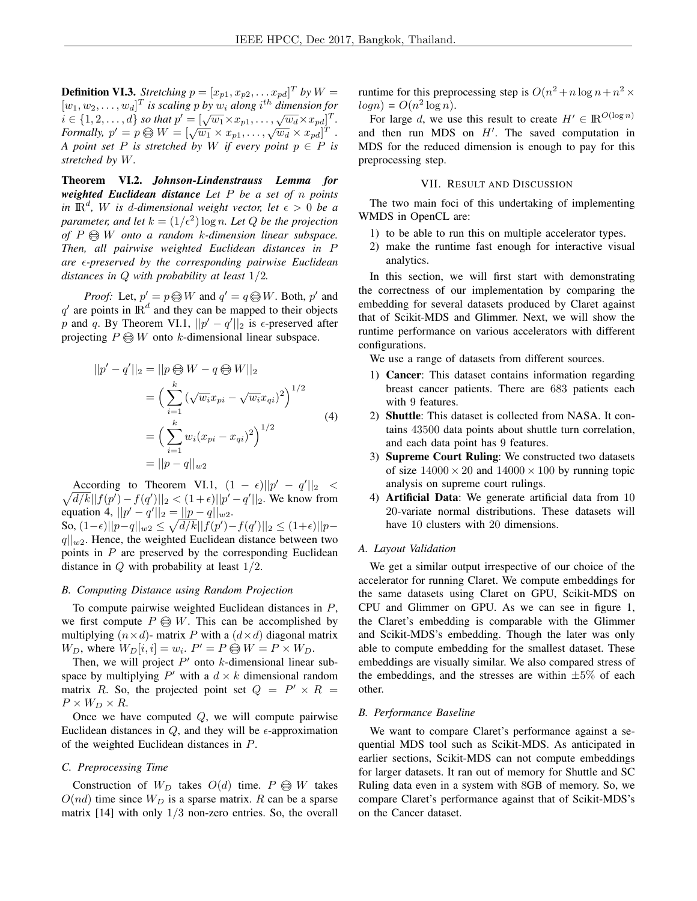**Definition VI.3.** *Stretching*  $p = [x_{p1}, x_{p2}, \dots x_{pd}]^T$  *by*  $W =$  $[w_1, w_2, \ldots, w_d]^T$  is scaling p by  $w_i$  along  $i^{th}$  dimension for  $i \in \{1, 2, \ldots, d\}$  *so that*  $p' = [\sqrt{w_1} \times x_{p1}, \ldots, \sqrt{w_d} \times x_{pd}]^T$ . Formally,  $p' = p \bigoplus W = [\sqrt{w_1} \times x_{p1}, \dots, \sqrt{w_d} \times x_{pd}]^T$ . *A point set* P *is stretched by* W *if every point*  $p \in P$  *is stretched by* W*.*

Theorem VI.2. *Johnson-Lindenstrauss Lemma for weighted Euclidean distance Let* P *be a set of* n *points in*  $\mathbb{R}^d$ , *W is d-dimensional weight vector, let*  $\epsilon > 0$  *be a parameter, and let*  $k = (1/\epsilon^2) \log n$ . Let Q be the projection *of*  $P$  ⊖ *W onto a random k-dimension linear subspace. Then, all pairwise weighted Euclidean distances in* P *are -preserved by the corresponding pairwise Euclidean distances in* Q *with probability at least* 1/2*.*

*Proof:* Let,  $p' = p \bigoplus W$  and  $q' = q \bigoplus W$ . Both,  $p'$  and  $q'$  are points in  $\mathbb{R}^d$  and they can be mapped to their objects p and q. By Theorem VI.1,  $||p' - q'||_2$  is  $\epsilon$ -preserved after projecting  $P \bigoplus W$  onto k-dimensional linear subspace.

$$
||p' - q'||_2 = ||p \oplus W - q \oplus W||_2
$$
  
=  $\left(\sum_{i=1}^k (\sqrt{w_i} x_{pi} - \sqrt{w_i} x_{qi})^2\right)^{1/2}$   
=  $\left(\sum_{i=1}^k w_i (x_{pi} - x_{qi})^2\right)^{1/2}$   
=  $||p - q||_{w2}$  (4)

According to Theorem VI.1,  $(1 - \epsilon) ||p' - q'||_2$  <  $\sqrt{d/k} ||f(p') - f(q')||_2 < (1 + \epsilon) ||p' - q'||_2$ . We know from equation 4,  $||p' - q'||_2 = ||p - q||_{w_2}$ . So,  $(1-\epsilon)||p-q||_{w2} \leq \sqrt{d/k} ||f(p') - f(q')||_2 \leq (1+\epsilon)||p$  $q||_{w2}$ . Hence, the weighted Euclidean distance between two points in  $P$  are preserved by the corresponding Euclidean distance in Q with probability at least 1/2.

#### *B. Computing Distance using Random Projection*

To compute pairwise weighted Euclidean distances in P, we first compute  $P \bigoplus W$ . This can be accomplished by multiplying  $(n \times d)$ - matrix P with a  $(d \times d)$  diagonal matrix  $W_D$ , where  $W_D[i, i] = w_i$ .  $P' = P \bigoplus W = P \times W_D$ .

Then, we will project  $P'$  onto k-dimensional linear subspace by multiplying  $P'$  with a  $d \times k$  dimensional random matrix R. So, the projected point set  $Q = P' \times R =$  $P \times W_D \times R$ .

Once we have computed  $Q$ , we will compute pairwise Euclidean distances in  $Q$ , and they will be  $\epsilon$ -approximation of the weighted Euclidean distances in P.

# *C. Preprocessing Time*

Construction of  $W_D$  takes  $O(d)$  time.  $P \bigoplus W$  takes  $O(nd)$  time since  $W_D$  is a sparse matrix. R can be a sparse matrix  $[14]$  with only  $1/3$  non-zero entries. So, the overall runtime for this preprocessing step is  $O(n^2 + n \log n + n^2 \times$  $log n$ ) =  $O(n^2 log n)$ .

For large d, we use this result to create  $H' \in \mathbb{R}^{O(\log n)}$ and then run MDS on  $H'$ . The saved computation in MDS for the reduced dimension is enough to pay for this preprocessing step.

# VII. RESULT AND DISCUSSION

The two main foci of this undertaking of implementing WMDS in OpenCL are:

- 1) to be able to run this on multiple accelerator types.
- 2) make the runtime fast enough for interactive visual analytics.

In this section, we will first start with demonstrating the correctness of our implementation by comparing the embedding for several datasets produced by Claret against that of Scikit-MDS and Glimmer. Next, we will show the runtime performance on various accelerators with different configurations.

We use a range of datasets from different sources.

- 1) Cancer: This dataset contains information regarding breast cancer patients. There are 683 patients each with 9 features.
- 2) Shuttle: This dataset is collected from NASA. It contains 43500 data points about shuttle turn correlation, and each data point has 9 features.
- 3) Supreme Court Ruling: We constructed two datasets of size  $14000 \times 20$  and  $14000 \times 100$  by running topic analysis on supreme court rulings.
- 4) Artificial Data: We generate artificial data from 10 20-variate normal distributions. These datasets will have 10 clusters with 20 dimensions.

## *A. Layout Validation*

We get a similar output irrespective of our choice of the accelerator for running Claret. We compute embeddings for the same datasets using Claret on GPU, Scikit-MDS on CPU and Glimmer on GPU. As we can see in figure 1, the Claret's embedding is comparable with the Glimmer and Scikit-MDS's embedding. Though the later was only able to compute embedding for the smallest dataset. These embeddings are visually similar. We also compared stress of the embeddings, and the stresses are within  $\pm 5\%$  of each other.

#### *B. Performance Baseline*

We want to compare Claret's performance against a sequential MDS tool such as Scikit-MDS. As anticipated in earlier sections, Scikit-MDS can not compute embeddings for larger datasets. It ran out of memory for Shuttle and SC Ruling data even in a system with 8GB of memory. So, we compare Claret's performance against that of Scikit-MDS's on the Cancer dataset.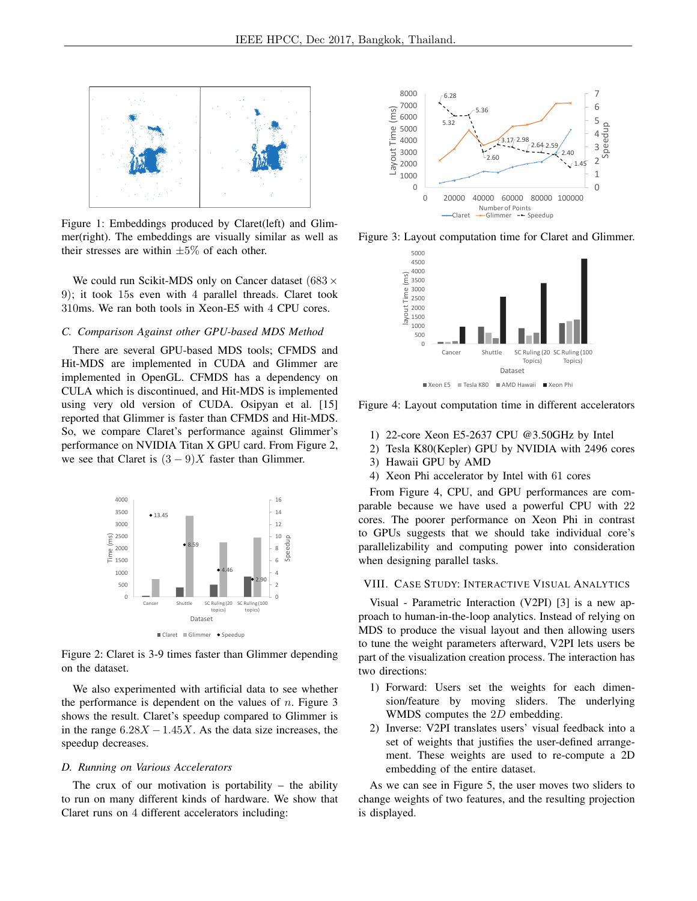

Figure 1: Embeddings produced by Claret(left) and Glimmer(right). The embeddings are visually similar as well as their stresses are within  $\pm 5\%$  of each other.

We could run Scikit-MDS only on Cancer dataset (683  $\times$ 9); it took 15s even with 4 parallel threads. Claret took 310ms. We ran both tools in Xeon-E5 with 4 CPU cores.

# *C. Comparison Against other GPU-based MDS Method*

There are several GPU-based MDS tools; CFMDS and Hit-MDS are implemented in CUDA and Glimmer are implemented in OpenGL. CFMDS has a dependency on CULA which is discontinued, and Hit-MDS is implemented using very old version of CUDA. Osipyan et al. [15] reported that Glimmer is faster than CFMDS and Hit-MDS. So, we compare Claret's performance against Glimmer's performance on NVIDIA Titan X GPU card. From Figure 2, we see that Claret is  $(3-9)X$  faster than Glimmer.



Figure 2: Claret is 3-9 times faster than Glimmer depending on the dataset.

We also experimented with artificial data to see whether the performance is dependent on the values of  $n$ . Figure 3 shows the result. Claret's speedup compared to Glimmer is in the range  $6.28X - 1.45X$ . As the data size increases, the speedup decreases.

# *D. Running on Various Accelerators*

The crux of our motivation is portability – the ability to run on many different kinds of hardware. We show that Claret runs on 4 different accelerators including:



Figure 3: Layout computation time for Claret and Glimmer.



Figure 4: Layout computation time in different accelerators

- 1) 22-core Xeon E5-2637 CPU @3.50GHz by Intel
- 2) Tesla K80(Kepler) GPU by NVIDIA with 2496 cores
- 3) Hawaii GPU by AMD
- 4) Xeon Phi accelerator by Intel with 61 cores

From Figure 4, CPU, and GPU performances are comparable because we have used a powerful CPU with 22 cores. The poorer performance on Xeon Phi in contrast to GPUs suggests that we should take individual core's parallelizability and computing power into consideration when designing parallel tasks.

# VIII. CASE STUDY: INTERACTIVE VISUAL ANALYTICS

Visual - Parametric Interaction (V2PI) [3] is a new approach to human-in-the-loop analytics. Instead of relying on MDS to produce the visual layout and then allowing users to tune the weight parameters afterward, V2PI lets users be part of the visualization creation process. The interaction has two directions:

- 1) Forward: Users set the weights for each dimension/feature by moving sliders. The underlying WMDS computes the 2D embedding.
- 2) Inverse: V2PI translates users' visual feedback into a set of weights that justifies the user-defined arrangement. These weights are used to re-compute a 2D embedding of the entire dataset.

As we can see in Figure 5, the user moves two sliders to change weights of two features, and the resulting projection is displayed.